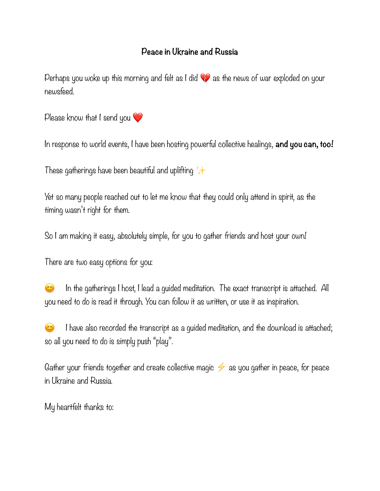## **Peace in Ukraine and Russia**

Perhaps you woke up this morning and felt as I did  $\blacklozenge$  as the news of war exploded on your newsfeed.

Please know that I send you  $\heartsuit$ 

In response to world events, I have been hosting powerful collective healings, **and you can, too!**

These gatherings have been beautiful and uplifting  $\downarrow$ 

Yet so many people reached out to let me know that they could only attend in spirit, as the timing wasn't right for them.

So I am making it easy, absolutely simple, for you to gather friends and host your own!

There are two easy options for you:

 $\bullet$  In the gatherings I host, I lead a quided meditation. The exact transcript is attached. All you need to do is read it through. You can follow it as written, or use it as inspiration.

 I have also recorded the transcript as a guided meditation, and the download is attached; so all you need to do is simply push "play".

Gather your friends together and create collective magic  $\neq$  as you gather in peace, for peace in Ukraine and Russia.

My heartfelt thanks to: